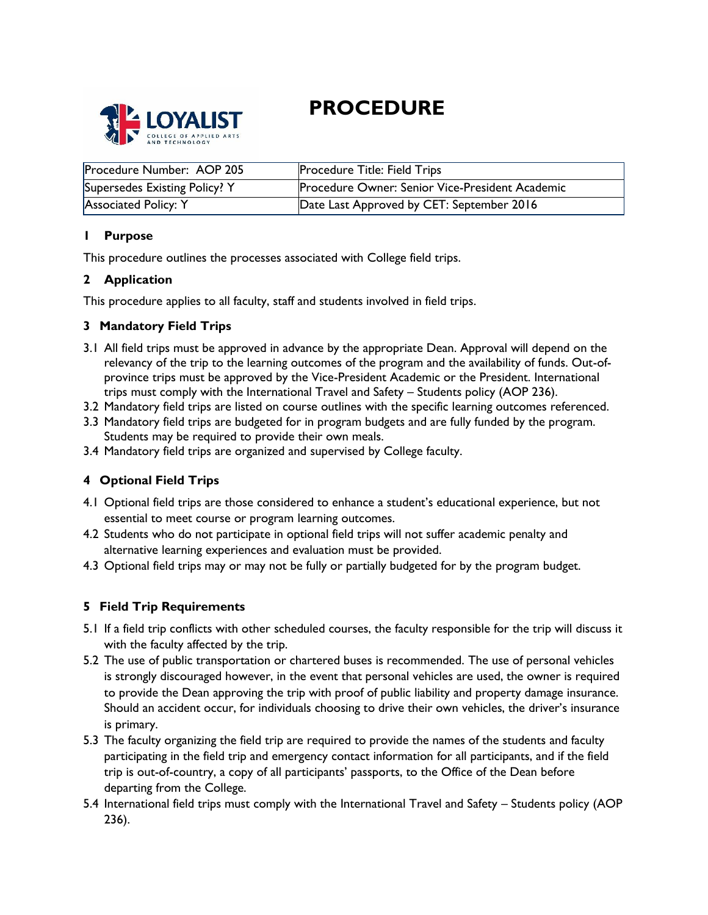# **PROCEDURE**



| Procedure Number: AOP 205     | <b>Procedure Title: Field Trips</b>             |
|-------------------------------|-------------------------------------------------|
| Supersedes Existing Policy? Y | Procedure Owner: Senior Vice-President Academic |
| Associated Policy: Y          | Date Last Approved by CET: September 2016       |

# **1 Purpose**

This procedure outlines the processes associated with College field trips.

## **2 Application**

This procedure applies to all faculty, staff and students involved in field trips.

## **3 Mandatory Field Trips**

- 3.1 All field trips must be approved in advance by the appropriate Dean. Approval will depend on the relevancy of the trip to the learning outcomes of the program and the availability of funds. Out-ofprovince trips must be approved by the Vice-President Academic or the President. International trips must comply with the International Travel and Safety – Students policy (AOP 236).
- 3.2 Mandatory field trips are listed on course outlines with the specific learning outcomes referenced.
- 3.3 Mandatory field trips are budgeted for in program budgets and are fully funded by the program. Students may be required to provide their own meals.
- 3.4 Mandatory field trips are organized and supervised by College faculty.

# **4 Optional Field Trips**

- 4.1 Optional field trips are those considered to enhance a student's educational experience, but not essential to meet course or program learning outcomes.
- 4.2 Students who do not participate in optional field trips will not suffer academic penalty and alternative learning experiences and evaluation must be provided.
- 4.3 Optional field trips may or may not be fully or partially budgeted for by the program budget.

# **5 Field Trip Requirements**

- 5.1 If a field trip conflicts with other scheduled courses, the faculty responsible for the trip will discuss it with the faculty affected by the trip.
- 5.2 The use of public transportation or chartered buses is recommended. The use of personal vehicles is strongly discouraged however, in the event that personal vehicles are used, the owner is required to provide the Dean approving the trip with proof of public liability and property damage insurance. Should an accident occur, for individuals choosing to drive their own vehicles, the driver's insurance is primary.
- 5.3 The faculty organizing the field trip are required to provide the names of the students and faculty participating in the field trip and emergency contact information for all participants, and if the field trip is out-of-country, a copy of all participants' passports, to the Office of the Dean before departing from the College.
- 5.4 International field trips must comply with the International Travel and Safety Students policy (AOP 236).